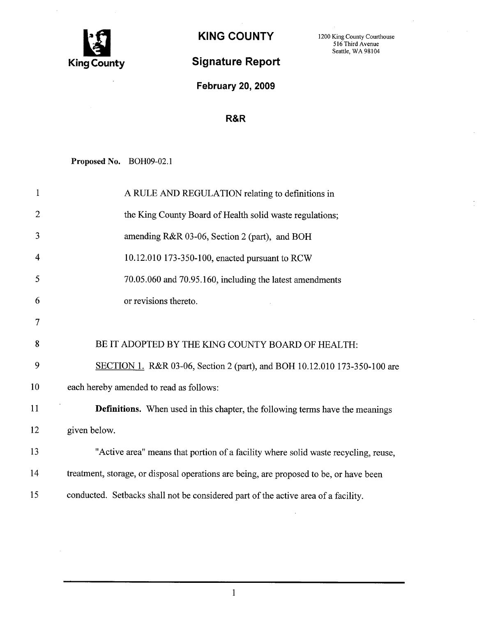

## Signature Report

KING COUNTY 1200 King County Courthouse 516 Third Avenue Seattle, WA 98104

February 20, 2009

## R&R

Proposed No. BOH09-02.1

| $\mathbf{1}$   | A RULE AND REGULATION relating to definitions in                                       |
|----------------|----------------------------------------------------------------------------------------|
| $\overline{2}$ | the King County Board of Health solid waste regulations;                               |
| 3              | amending R&R 03-06, Section 2 (part), and BOH                                          |
| 4              | 10.12.010 173-350-100, enacted pursuant to RCW                                         |
| 5              | 70.05.060 and 70.95.160, including the latest amendments                               |
| 6              | or revisions thereto.                                                                  |
| 7              |                                                                                        |
| 8              | BE IT ADOPTED BY THE KING COUNTY BOARD OF HEALTH:                                      |
| 9              | SECTION 1. R&R 03-06, Section 2 (part), and BOH 10.12.010 173-350-100 are              |
| 10             | each hereby amended to read as follows:                                                |
| 11             | <b>Definitions.</b> When used in this chapter, the following terms have the meanings   |
| 12             | given below.                                                                           |
| 13             | "Active area" means that portion of a facility where solid waste recycling, reuse,     |
| 14             | treatment, storage, or disposal operations are being, are proposed to be, or have been |
| 15             | conducted. Setbacks shall not be considered part of the active area of a facility.     |
|                |                                                                                        |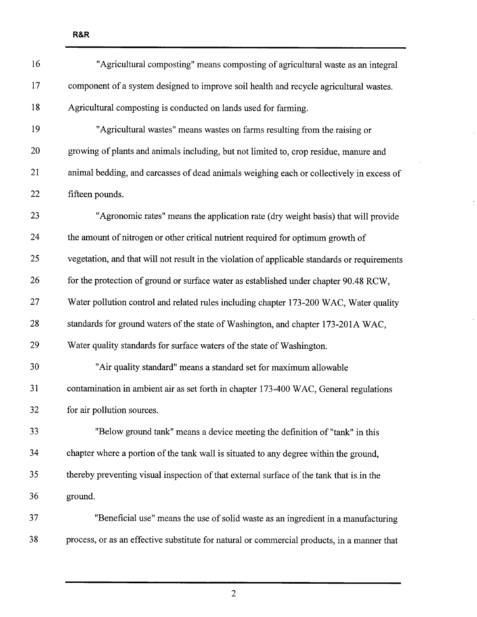16 "Agricultural compo sting " means compo sting of agricultural waste as an integral 17 component of a system designed to improve soil health and recycle agricultural wastes. 18 Agricultural composting is conducted on lands used for farming. 19 "Agricultural wastes" means wastes on farms resulting from the raising or 20 growing of plants and animals including, but not limited to, crop residue, manure and 21 animal bedding, and carcasses of dead animals weighing each or collectively in excess of 22 fifteen pounds. 23 "Agronomic rates" means the application rate (dry weight basis) that wil provide 24 the amount of nitrogen or other critical nutrient required for optimum growth of 25 vegetation, and that will not result in the violation of applicable standards or requirements 26 for the protection of ground or surface water as established under chapter 90.48 RCW, 27 Water pollution control and related rules including chapter 173-200 WAC, Water quality 28 standards for ground waters of the state of Washington, and chapter 173-201A WAC, 29 Water quality standards for surface waters of the state of Washington. 30 "Air quality standard" means a standard set for maximum allowable 31 contamination in ambient air as set forth in chapter 173-400 WAC, General regulations 32 for air pollution sources. <sup>33</sup> "Below ground tank" means a device meeting the definition of "tank" in this 34 chapter where a portion of the tank wall is situated to any degree within the ground, 35 thereby preventing visual inspection of that external surface of the tank that is in the 36 ground. 37 "Beneficial use" means the use of solid waste as an ingredient in a manufacturing 38 process, or as an effective substitute for natural or commercial products, in a manner that

R&R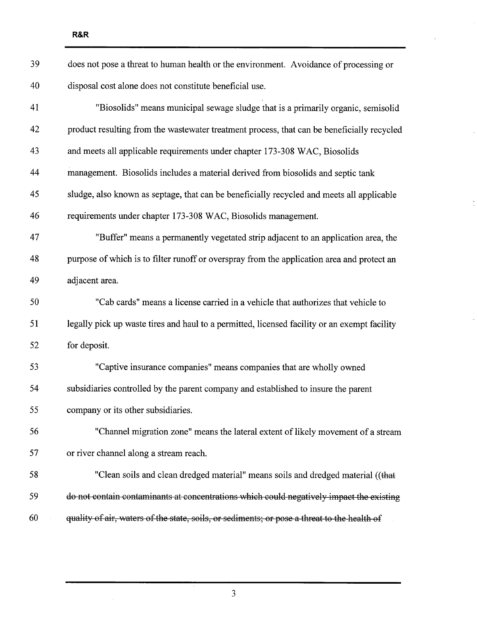| 39 | does not pose a threat to human health or the environment. Avoidance of processing or        |
|----|----------------------------------------------------------------------------------------------|
| 40 | disposal cost alone does not constitute beneficial use.                                      |
| 41 | "Biosolids" means municipal sewage sludge that is a primarily organic, semisolid             |
| 42 | product resulting from the wastewater treatment process, that can be beneficially recycled   |
| 43 | and meets all applicable requirements under chapter 173-308 WAC, Biosolids                   |
| 44 | management. Biosolids includes a material derived from biosolids and septic tank             |
| 45 | sludge, also known as septage, that can be beneficially recycled and meets all applicable    |
| 46 | requirements under chapter 173-308 WAC, Biosolids management.                                |
| 47 | "Buffer" means a permanently vegetated strip adjacent to an application area, the            |
| 48 | purpose of which is to filter runoff or overspray from the application area and protect an   |
| 49 | adjacent area.                                                                               |
| 50 |                                                                                              |
|    | "Cab cards" means a license carried in a vehicle that authorizes that vehicle to             |
| 51 | legally pick up waste tires and haul to a permitted, licensed facility or an exempt facility |
| 52 | for deposit.                                                                                 |
| 53 | "Captive insurance companies" means companies that are wholly owned                          |
| 54 | subsidiaries controlled by the parent company and established to insure the parent           |
| 55 | company or its other subsidiaries.                                                           |
| 56 | "Channel migration zone" means the lateral extent of likely movement of a stream             |
| 57 | or river channel along a stream reach.                                                       |
| 58 | "Clean soils and clean dredged material" means soils and dredged material ((that             |
| 59 | do not contain contaminants at concentrations which could negatively impact the existing     |

 $\overline{a}$ 

 $\ddot{\phantom{a}}$ 

 $\frac{1}{\pi}$ 

l,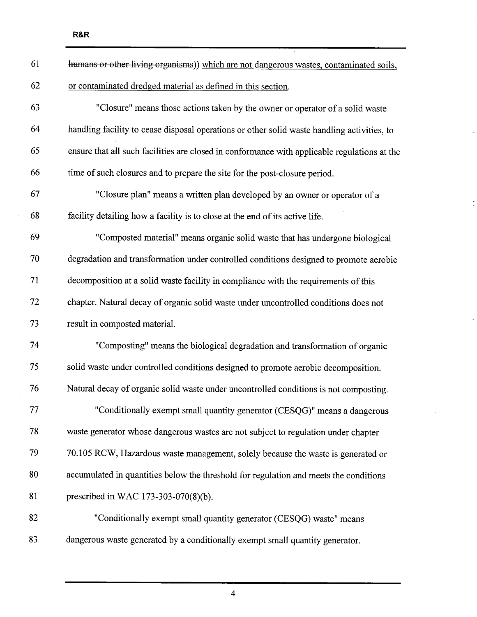| 61 | humans or other living organisms)) which are not dangerous wastes, contaminated soils,       |
|----|----------------------------------------------------------------------------------------------|
| 62 | or contaminated dredged material as defined in this section.                                 |
| 63 | "Closure" means those actions taken by the owner or operator of a solid waste                |
| 64 | handling facility to cease disposal operations or other solid waste handling activities, to  |
| 65 | ensure that all such facilities are closed in conformance with applicable regulations at the |
| 66 | time of such closures and to prepare the site for the post-closure period.                   |
| 67 | "Closure plan" means a written plan developed by an owner or operator of a                   |
| 68 | facility detailing how a facility is to close at the end of its active life.                 |
| 69 | "Composted material" means organic solid waste that has undergone biological                 |
| 70 | degradation and transformation under controlled conditions designed to promote aerobic       |
| 71 | decomposition at a solid waste facility in compliance with the requirements of this          |
| 72 | chapter. Natural decay of organic solid waste under uncontrolled conditions does not         |
| 73 | result in composted material.                                                                |
| 74 | "Composting" means the biological degradation and transformation of organic                  |
| 75 | solid waste under controlled conditions designed to promote aerobic decomposition.           |
| 76 | Natural decay of organic solid waste under uncontrolled conditions is not composting.        |
| 77 | "Conditionally exempt small quantity generator (CESQG)" means a dangerous                    |
| 78 | waste generator whose dangerous wastes are not subject to regulation under chapter           |
| 79 | 70.105 RCW, Hazardous waste management, solely because the waste is generated or             |
| 80 | accumulated in quantities below the threshold for regulation and meets the conditions        |
| 81 | prescribed in WAC 173-303-070(8)(b).                                                         |
| 82 | "Conditionally exempt small quantity generator (CESQG) waste" means                          |
| 83 | dangerous waste generated by a conditionally exempt small quantity generator.                |

t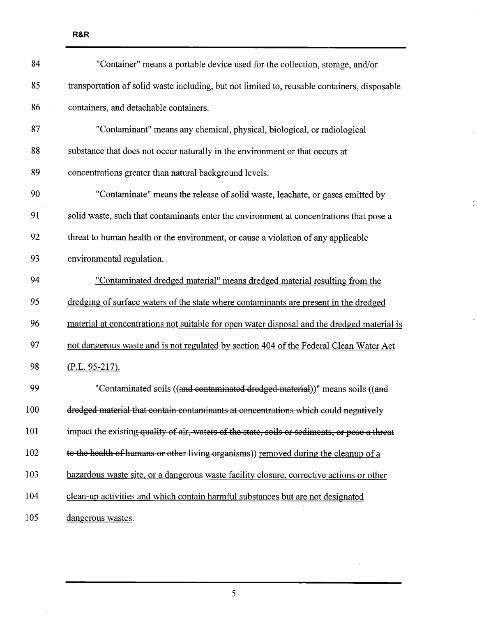| 84  | "Container" means a portable device used for the collection, storage, and/or                  |
|-----|-----------------------------------------------------------------------------------------------|
| 85  | transportation of solid waste including, but not limited to, reusable containers, disposable  |
| 86  | containers, and detachable containers.                                                        |
| 87  | "Contaminant" means any chemical, physical, biological, or radiological                       |
| 88  | substance that does not occur naturally in the environment or that occurs at                  |
| 89  | concentrations greater than natural background levels.                                        |
| 90  | "Contaminate" means the release of solid waste, leachate, or gases emitted by                 |
| 91  | solid waste, such that contaminants enter the environment at concentrations that pose a       |
| 92  | threat to human health or the environment, or cause a violation of any applicable             |
| 93  | environmental regulation.                                                                     |
| 94  | "Contaminated dredged material" means dredged material resulting from the                     |
| 95  | dredging of surface waters of the state where contaminants are present in the dredged         |
| 96  | material at concentrations not suitable for open water disposal and the dredged material is   |
| 97  | not dangerous waste and is not regulated by section 404 of the Federal Clean Water Act        |
| 98  | $(P.L. 95-217).$                                                                              |
| 99  | "Contaminated soils ((and contaminated dredged material))" means soils ((and                  |
| 100 | dredged material that contain contaminants at concentrations which could negatively           |
| 101 | impact the existing quality of air, waters of the state, soils or sediments, or pose a threat |
| 102 | to the health of humans or other living organisms)) removed during the cleanup of a           |
| 103 | hazardous waste site, or a dangerous waste facility closure, corrective actions or other      |
| 104 | clean-up activities and which contain harmful substances but are not designated               |
| 105 | dangerous wastes.                                                                             |

 $\cdot$ 

 $\overline{\phantom{a}}$ 

l,

5

 $\sim$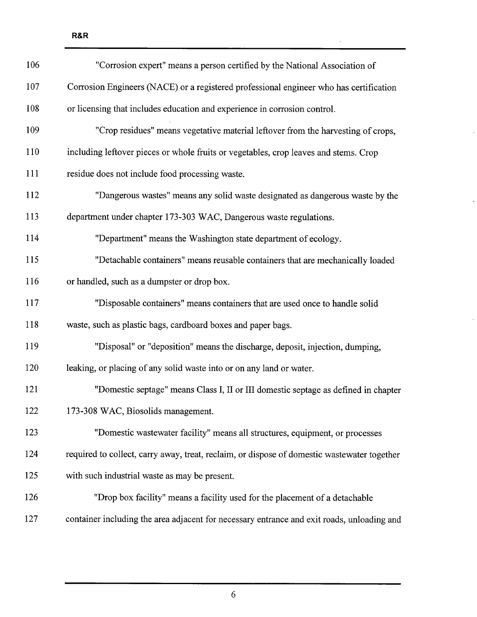| 106 | "Corrosion expert" means a person certified by the National Association of                  |
|-----|---------------------------------------------------------------------------------------------|
| 107 | Corrosion Engineers (NACE) or a registered professional engineer who has certification      |
| 108 | or licensing that includes education and experience in corrosion control.                   |
| 109 | "Crop residues" means vegetative material leftover from the harvesting of crops,            |
| 110 | including leftover pieces or whole fruits or vegetables, crop leaves and stems. Crop        |
| 111 | residue does not include food processing waste.                                             |
| 112 | "Dangerous wastes" means any solid waste designated as dangerous waste by the               |
| 113 | department under chapter 173-303 WAC, Dangerous waste regulations.                          |
| 114 | "Department" means the Washington state department of ecology.                              |
| 115 | "Detachable containers" means reusable containers that are mechanically loaded              |
| 116 | or handled, such as a dumpster or drop box.                                                 |
| 117 | "Disposable containers" means containers that are used once to handle solid                 |
| 118 | waste, such as plastic bags, cardboard boxes and paper bags.                                |
| 119 | "Disposal" or "deposition" means the discharge, deposit, injection, dumping,                |
| 120 | leaking, or placing of any solid waste into or on any land or water.                        |
| 121 | "Domestic septage" means Class I, II or III domestic septage as defined in chapter          |
| 122 | 173-308 WAC, Biosolids management.                                                          |
| 123 | "Domestic wastewater facility" means all structures, equipment, or processes                |
| 124 | required to collect, carry away, treat, reclaim, or dispose of domestic wastewater together |
| 125 | with such industrial waste as may be present.                                               |
| 126 | "Drop box facility" means a facility used for the placement of a detachable                 |
| 127 | container including the area adjacent for necessary entrance and exit roads, unloading and  |

 $\hat{\mathcal{A}}$ 

 $\overline{a}$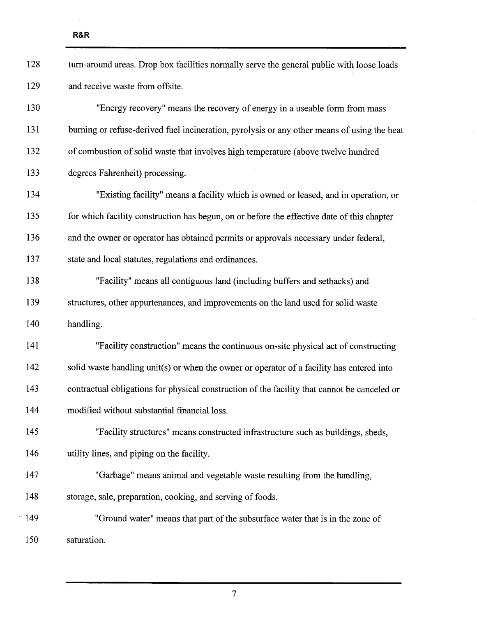$\mathcal{L}$ 

| 128 | turn-around areas. Drop box facilities normally serve the general public with loose loads    |
|-----|----------------------------------------------------------------------------------------------|
| 129 | and receive waste from offsite.                                                              |
| 130 | "Energy recovery" means the recovery of energy in a useable form from mass                   |
| 131 | burning or refuse-derived fuel incineration, pyrolysis or any other means of using the heat  |
| 132 | of combustion of solid waste that involves high temperature (above twelve hundred            |
| 133 | degrees Fahrenheit) processing.                                                              |
| 134 | "Existing facility" means a facility which is owned or leased, and in operation, or          |
| 135 | for which facility construction has begun, on or before the effective date of this chapter   |
| 136 | and the owner or operator has obtained permits or approvals necessary under federal,         |
| 137 | state and local statutes, regulations and ordinances.                                        |
| 138 | "Facility" means all contiguous land (including buffers and setbacks) and                    |
| 139 | structures, other appurtenances, and improvements on the land used for solid waste           |
| 140 | handling.                                                                                    |
| 141 | "Facility construction" means the continuous on-site physical act of constructing            |
| 142 | solid waste handling unit(s) or when the owner or operator of a facility has entered into    |
| 143 | contractual obligations for physical construction of the facility that cannot be canceled or |
| 144 | modified without substantial financial loss.                                                 |
| 145 | "Facility structures" means constructed infrastructure such as buildings, sheds,             |
| 146 | utility lines, and piping on the facility.                                                   |
| 147 | "Garbage" means animal and vegetable waste resulting from the handling,                      |
| 148 | storage, sale, preparation, cooking, and serving of foods.                                   |
| 149 | "Ground water" means that part of the subsurface water that is in the zone of                |
| 150 | saturation.                                                                                  |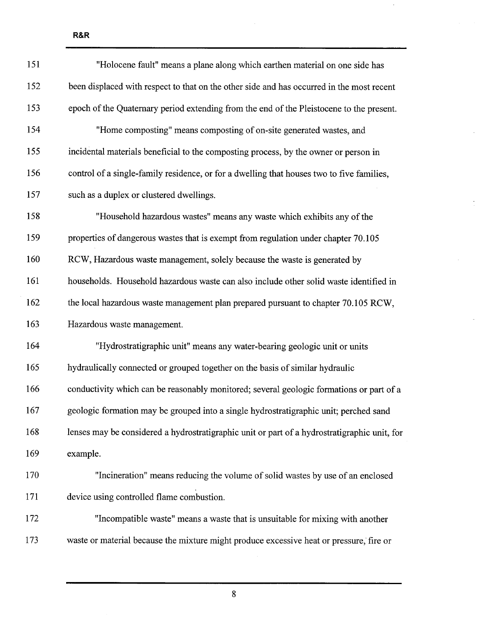151 "Holocene fault" means a plane along which earthen material on one side has 152 been displaced with respect to that on the other side and has occurred in the most recent 153 epoch of the Quaternary period extending from the end of the Pleistocene to the present. 154 "Home composting" means composting of on-site generated wastes, and 1 55 incidental materials beneficial to the composting process, by the owner or person in 156 control of a single-family residence, or for a dwelling that houses two to five families, 157 such as a duplex or clustered dwellings. 158 "Household hazardous wastes" means any waste which exhibits any ofthe 159 properties of dangerous wastes that is exempt from regulation under chapter 70.105 160 RCW, Hazardous waste management, solely because the waste is generated by 161 households. Household hazardous waste can also include other solid waste identified in 162 the local hazardous waste management plan prepared pursuant to chapter 70.105 RCW, 163 Hazardous waste management. 164 "Hydro stratigraphic unit" means any water-bearing geologic unit or units 1 65 hydraulically connected or grouped together on the basis of similar hydraulic 166 conductivity which can be reasonably monitored; several geologic formations or part of a 167 geologic formation may be grouped into a single hydrostratigraphic unit; perched sand 168 lenses may be considered a hydrostratigraphic unit or part of a hydrostratigraphic unit, for 169 example. 1 70 "Incineration" means reducing the volume of solid wastes by use of an enclosed 171 device using controlled flame combustion. 1 72 "Incompatible waste" means a waste that is unsuitable for mixing with another

R&R

8

173 waste or material because the mixture might produce excessive heat or pressure, fire or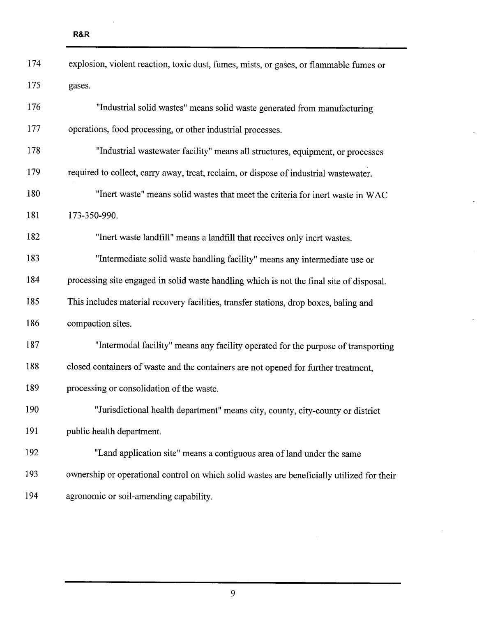| 174 | explosion, violent reaction, toxic dust, fumes, mists, or gases, or flammable fumes or     |
|-----|--------------------------------------------------------------------------------------------|
| 175 | gases.                                                                                     |
| 176 | "Industrial solid wastes" means solid waste generated from manufacturing                   |
| 177 | operations, food processing, or other industrial processes.                                |
| 178 | "Industrial wastewater facility" means all structures, equipment, or processes             |
| 179 | required to collect, carry away, treat, reclaim, or dispose of industrial wastewater.      |
| 180 | "Inert waste" means solid wastes that meet the criteria for inert waste in WAC             |
| 181 | 173-350-990.                                                                               |
| 182 | "Inert waste landfill" means a landfill that receives only inert wastes.                   |
| 183 | "Intermediate solid waste handling facility" means any intermediate use or                 |
| 184 | processing site engaged in solid waste handling which is not the final site of disposal.   |
| 185 | This includes material recovery facilities, transfer stations, drop boxes, baling and      |
| 186 | compaction sites.                                                                          |
| 187 | "Intermodal facility" means any facility operated for the purpose of transporting          |
| 188 | closed containers of waste and the containers are not opened for further treatment,        |
| 189 | processing or consolidation of the waste.                                                  |
| 190 | "Jurisdictional health department" means city, county, city-county or district             |
| 191 | public health department.                                                                  |
| 192 | "Land application site" means a contiguous area of land under the same                     |
| 193 | ownership or operational control on which solid wastes are beneficially utilized for their |
| 194 | agronomic or soil-amending capability.                                                     |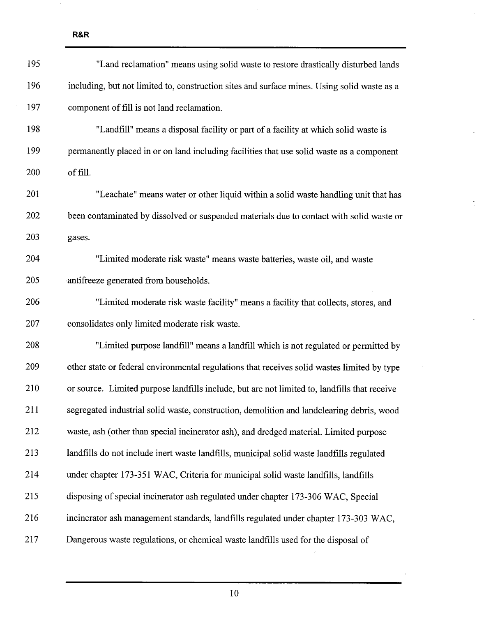| 195 | "Land reclamation" means using solid waste to restore drastically disturbed lands            |
|-----|----------------------------------------------------------------------------------------------|
| 196 | including, but not limited to, construction sites and surface mines. Using solid waste as a  |
| 197 | component of fill is not land reclamation.                                                   |
| 198 | "Landfill" means a disposal facility or part of a facility at which solid waste is           |
| 199 | permanently placed in or on land including facilities that use solid waste as a component    |
| 200 | of fill.                                                                                     |
| 201 | "Leachate" means water or other liquid within a solid waste handling unit that has           |
| 202 | been contaminated by dissolved or suspended materials due to contact with solid waste or     |
| 203 | gases.                                                                                       |
| 204 | "Limited moderate risk waste" means waste batteries, waste oil, and waste                    |
| 205 | antifreeze generated from households.                                                        |
| 206 | "Limited moderate risk waste facility" means a facility that collects, stores, and           |
| 207 | consolidates only limited moderate risk waste.                                               |
| 208 | "Limited purpose landfill" means a landfill which is not regulated or permitted by           |
| 209 | other state or federal environmental regulations that receives solid wastes limited by type  |
| 210 | or source. Limited purpose landfills include, but are not limited to, landfills that receive |
| 211 | segregated industrial solid waste, construction, demolition and landclearing debris, wood    |
| 212 | waste, ash (other than special incinerator ash), and dredged material. Limited purpose       |
| 213 | landfills do not include inert waste landfills, municipal solid waste landfills regulated    |
| 214 | under chapter 173-351 WAC, Criteria for municipal solid waste landfills, landfills           |
| 215 | disposing of special incinerator ash regulated under chapter 173-306 WAC, Special            |
| 216 | incinerator ash management standards, landfills regulated under chapter 173-303 WAC,         |
| 217 | Dangerous waste regulations, or chemical waste landfills used for the disposal of            |
|     |                                                                                              |

J.

 $\ddot{\phantom{a}}$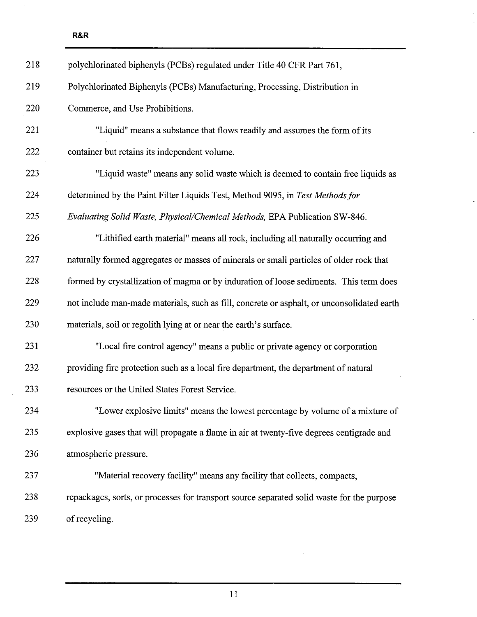$\bar{z}$ 

| 218 | polychlorinated biphenyls (PCBs) regulated under Title 40 CFR Part 761,                    |
|-----|--------------------------------------------------------------------------------------------|
| 219 | Polychlorinated Biphenyls (PCBs) Manufacturing, Processing, Distribution in                |
| 220 | Commerce, and Use Prohibitions.                                                            |
| 221 | "Liquid" means a substance that flows readily and assumes the form of its                  |
| 222 | container but retains its independent volume.                                              |
| 223 | "Liquid waste" means any solid waste which is deemed to contain free liquids as            |
| 224 | determined by the Paint Filter Liquids Test, Method 9095, in Test Methods for              |
| 225 | Evaluating Solid Waste, Physical/Chemical Methods, EPA Publication SW-846.                 |
| 226 | "Lithified earth material" means all rock, including all naturally occurring and           |
| 227 | naturally formed aggregates or masses of minerals or small particles of older rock that    |
| 228 | formed by crystallization of magma or by induration of loose sediments. This term does     |
| 229 | not include man-made materials, such as fill, concrete or asphalt, or unconsolidated earth |
| 230 | materials, soil or regolith lying at or near the earth's surface.                          |
| 231 | "Local fire control agency" means a public or private agency or corporation                |
| 232 | providing fire protection such as a local fire department, the department of natural       |
| 233 | resources or the United States Forest Service.                                             |
| 234 | "Lower explosive limits" means the lowest percentage by volume of a mixture of             |
| 235 | explosive gases that will propagate a flame in air at twenty-five degrees centigrade and   |
| 236 | atmospheric pressure.                                                                      |
| 237 | "Material recovery facility" means any facility that collects, compacts,                   |
| 238 | repackages, sorts, or processes for transport source separated solid waste for the purpose |
| 239 | of recycling.                                                                              |

 $\overline{\phantom{a}}$ 

 $\overline{a}$ 

11

J.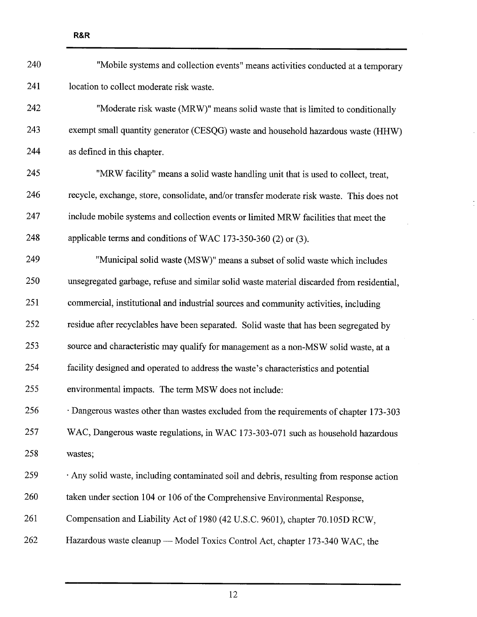| 240 | "Mobile systems and collection events" means activities conducted at a temporary          |
|-----|-------------------------------------------------------------------------------------------|
| 241 | location to collect moderate risk waste.                                                  |
| 242 | "Moderate risk waste (MRW)" means solid waste that is limited to conditionally            |
| 243 | exempt small quantity generator (CESQG) waste and household hazardous waste (HHW)         |
| 244 | as defined in this chapter.                                                               |
| 245 | "MRW facility" means a solid waste handling unit that is used to collect, treat,          |
| 246 | recycle, exchange, store, consolidate, and/or transfer moderate risk waste. This does not |
| 247 | include mobile systems and collection events or limited MRW facilities that meet the      |
| 248 | applicable terms and conditions of WAC 173-350-360 (2) or (3).                            |
| 249 | "Municipal solid waste (MSW)" means a subset of solid waste which includes                |
| 250 | unsegregated garbage, refuse and similar solid waste material discarded from residential, |
| 251 | commercial, institutional and industrial sources and community activities, including      |
| 252 | residue after recyclables have been separated. Solid waste that has been segregated by    |
| 253 | source and characteristic may qualify for management as a non-MSW solid waste, at a       |
| 254 | facility designed and operated to address the waste's characteristics and potential       |
| 255 | environmental impacts. The term MSW does not include:                                     |
| 256 | · Dangerous wastes other than wastes excluded from the requirements of chapter 173-303    |
| 257 | WAC, Dangerous waste regulations, in WAC 173-303-071 such as household hazardous          |
| 258 | wastes;                                                                                   |
| 259 | · Any solid waste, including contaminated soil and debris, resulting from response action |
| 260 | taken under section 104 or 106 of the Comprehensive Environmental Response,               |
| 261 | Compensation and Liability Act of 1980 (42 U.S.C. 9601), chapter 70.105D RCW,             |
| 262 | Hazardous waste cleanup - Model Toxics Control Act, chapter 173-340 WAC, the              |

 $\cdot$ 

 $\frac{1}{\pi}$ 

J.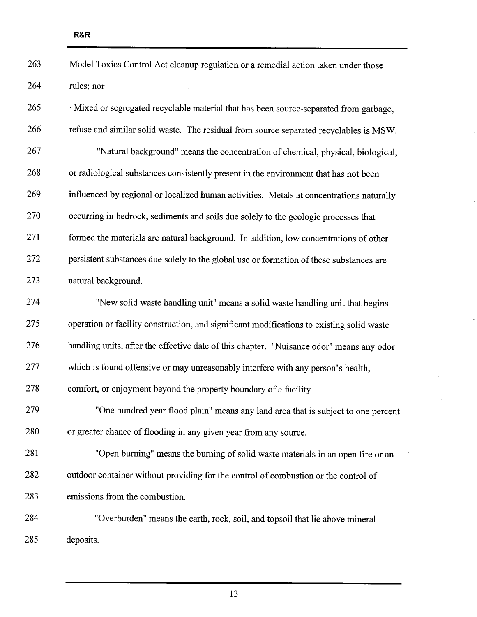| 263 | Model Toxics Control Act cleanup regulation or a remedial action taken under those        |
|-----|-------------------------------------------------------------------------------------------|
| 264 | rules; nor                                                                                |
| 265 | · Mixed or segregated recyclable material that has been source-separated from garbage,    |
| 266 | refuse and similar solid waste. The residual from source separated recyclables is MSW.    |
| 267 | "Natural background" means the concentration of chemical, physical, biological,           |
| 268 | or radiological substances consistently present in the environment that has not been      |
| 269 | influenced by regional or localized human activities. Metals at concentrations naturally  |
| 270 | occurring in bedrock, sediments and soils due solely to the geologic processes that       |
| 271 | formed the materials are natural background. In addition, low concentrations of other     |
| 272 | persistent substances due solely to the global use or formation of these substances are   |
| 273 | natural background.                                                                       |
| 274 | "New solid waste handling unit" means a solid waste handling unit that begins             |
| 275 | operation or facility construction, and significant modifications to existing solid waste |
| 276 | handling units, after the effective date of this chapter. "Nuisance odor" means any odor  |
| 277 | which is found offensive or may unreasonably interfere with any person's health,          |
| 278 | comfort, or enjoyment beyond the property boundary of a facility.                         |
| 279 | "One hundred year flood plain" means any land area that is subject to one percent         |
| 280 | or greater chance of flooding in any given year from any source.                          |
| 281 | "Open burning" means the burning of solid waste materials in an open fire or an           |
| 282 | outdoor container without providing for the control of combustion or the control of       |
| 283 | emissions from the combustion.                                                            |
| 284 | "Overburden" means the earth, rock, soil, and topsoil that lie above mineral              |
| 285 | deposits.                                                                                 |

13

 $\bar{A}$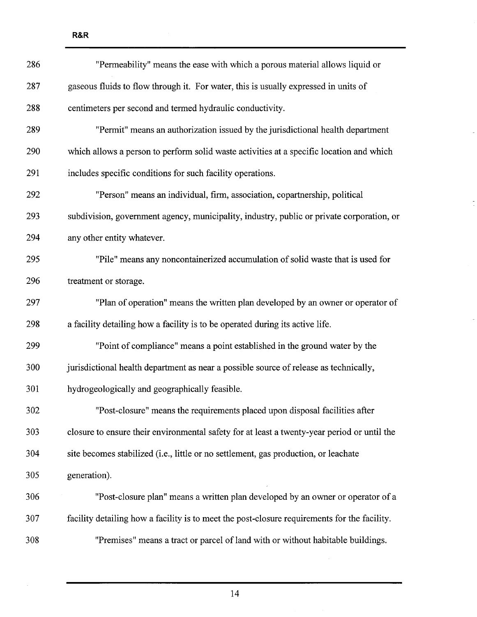| 286 | "Permeability" means the ease with which a porous material allows liquid or                  |
|-----|----------------------------------------------------------------------------------------------|
| 287 | gaseous fluids to flow through it. For water, this is usually expressed in units of          |
| 288 | centimeters per second and termed hydraulic conductivity.                                    |
| 289 | "Permit" means an authorization issued by the jurisdictional health department               |
| 290 | which allows a person to perform solid waste activities at a specific location and which     |
| 291 | includes specific conditions for such facility operations.                                   |
| 292 | "Person" means an individual, firm, association, copartnership, political                    |
| 293 | subdivision, government agency, municipality, industry, public or private corporation, or    |
| 294 | any other entity whatever.                                                                   |
| 295 | "Pile" means any noncontainerized accumulation of solid waste that is used for               |
| 296 | treatment or storage.                                                                        |
| 297 | "Plan of operation" means the written plan developed by an owner or operator of              |
| 298 | a facility detailing how a facility is to be operated during its active life.                |
| 299 | "Point of compliance" means a point established in the ground water by the                   |
| 300 | jurisdictional health department as near a possible source of release as technically,        |
| 301 | hydrogeologically and geographically feasible.                                               |
| 302 | "Post-closure" means the requirements placed upon disposal facilities after                  |
| 303 | closure to ensure their environmental safety for at least a twenty-year period or until the  |
| 304 | site becomes stabilized (i.e., little or no settlement, gas production, or leachate          |
| 305 | generation).                                                                                 |
| 306 | "Post-closure plan" means a written plan developed by an owner or operator of a              |
| 307 | facility detailing how a facility is to meet the post-closure requirements for the facility. |
| 308 | "Premises" means a tract or parcel of land with or without habitable buildings.              |

 $\Box$ 

 $\frac{1}{\pi}$ 

 $\frac{1}{\sqrt{2}}$ 

R&R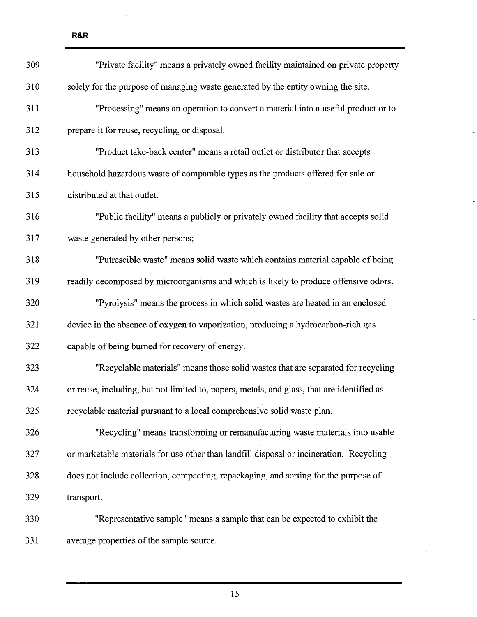| 309 | "Private facility" means a privately owned facility maintained on private property         |
|-----|--------------------------------------------------------------------------------------------|
| 310 | solely for the purpose of managing waste generated by the entity owning the site.          |
| 311 | "Processing" means an operation to convert a material into a useful product or to          |
| 312 | prepare it for reuse, recycling, or disposal.                                              |
| 313 | "Product take-back center" means a retail outlet or distributor that accepts               |
| 314 | household hazardous waste of comparable types as the products offered for sale or          |
| 315 | distributed at that outlet.                                                                |
| 316 | "Public facility" means a publicly or privately owned facility that accepts solid          |
| 317 | waste generated by other persons;                                                          |
| 318 | "Putrescible waste" means solid waste which contains material capable of being             |
| 319 | readily decomposed by microorganisms and which is likely to produce offensive odors.       |
| 320 | "Pyrolysis" means the process in which solid wastes are heated in an enclosed              |
| 321 | device in the absence of oxygen to vaporization, producing a hydrocarbon-rich gas          |
| 322 | capable of being burned for recovery of energy.                                            |
| 323 | "Recyclable materials" means those solid wastes that are separated for recycling           |
| 324 | or reuse, including, but not limited to, papers, metals, and glass, that are identified as |
| 325 | recyclable material pursuant to a local comprehensive solid waste plan.                    |
| 326 | "Recycling" means transforming or remanufacturing waste materials into usable              |
| 327 | or marketable materials for use other than landfill disposal or incineration. Recycling    |
| 328 | does not include collection, compacting, repackaging, and sorting for the purpose of       |
| 329 | transport.                                                                                 |
| 330 | "Representative sample" means a sample that can be expected to exhibit the                 |
| 331 | average properties of the sample source.                                                   |

 $\overline{\phantom{a}}$ 

 $\overline{a}$ 

l,

 $\bar{\lambda}$ 

 $\hat{\boldsymbol{\beta}}$ 

R&R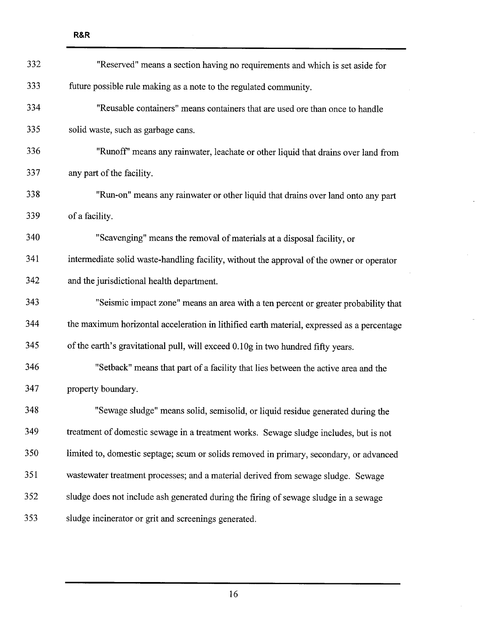332 "Reserved" means a section having no requirements and which is set aside for 333 future possible rule making as a note to the regulated community. 334 "Reusable containers" means containers that are used ore than once to handle 335 solid waste, such as garbage cans. 336 "Runoff' means any rainwater, leachate or other liquid that drains over land from 337 any part of the facility. 338 "Run-on" means any rainwater or other liquid that drains over land onto any par

339 of a facility.

340 "Scavenging" means the removal of materials at a disposal facility, or 341 intermediate solid waste-handling facility, without the approval of the owner or operator 342 and the jurisdictional health deparment.

## 343 "Seismic impact zone" means an area with a ten percent or greater probability that 344 the maximum horizontal acceleration in lithified earth material, expressed as a percentage 345 of the earth's gravitational pull, wil exceed 0.10g in two hundred fifty years.

346 "Setback" means that part of a facility that lies between the active area and the 347 property boundary.

348 "Sewage sludge" means solid, semisolid, or liquid residue generated during the 349 treatment of domestic sewage in a treatment works. Sewage sludge includes, but is not 350 limited to, domestic septage; scum or solids removed in primary, secondary, or advanced 351 wastewater treatment processes; and a material derived from sewage sludge. Sewage 352 sludge does not include ash generated during the firing of sewage sludge in a sewage 353 sludge incinerator or grit and screenings generated.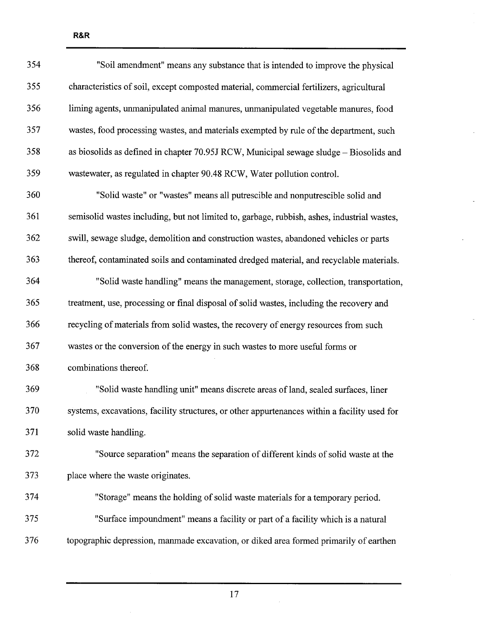| 354 | "Soil amendment" means any substance that is intended to improve the physical                |
|-----|----------------------------------------------------------------------------------------------|
| 355 | characteristics of soil, except composted material, commercial fertilizers, agricultural     |
| 356 | liming agents, unmanipulated animal manures, unmanipulated vegetable manures, food           |
| 357 | wastes, food processing wastes, and materials exempted by rule of the department, such       |
| 358 | as biosolids as defined in chapter $70.95J RCW$ , Municipal sewage sludge – Biosolids and    |
| 359 | wastewater, as regulated in chapter 90.48 RCW, Water pollution control.                      |
| 360 | "Solid waste" or "wastes" means all putrescible and nonputrescible solid and                 |
| 361 | semisolid wastes including, but not limited to, garbage, rubbish, ashes, industrial wastes,  |
| 362 | swill, sewage sludge, demolition and construction wastes, abandoned vehicles or parts        |
| 363 | thereof, contaminated soils and contaminated dredged material, and recyclable materials.     |
| 364 | "Solid waste handling" means the management, storage, collection, transportation,            |
| 365 | treatment, use, processing or final disposal of solid wastes, including the recovery and     |
| 366 | recycling of materials from solid wastes, the recovery of energy resources from such         |
| 367 | wastes or the conversion of the energy in such wastes to more useful forms or                |
| 368 | combinations thereof.                                                                        |
| 369 | "Solid waste handling unit" means discrete areas of land, sealed surfaces, liner             |
| 370 | systems, excavations, facility structures, or other appurtenances within a facility used for |
| 371 | solid waste handling.                                                                        |
| 372 | "Source separation" means the separation of different kinds of solid waste at the            |
| 373 | place where the waste originates.                                                            |
| 374 | "Storage" means the holding of solid waste materials for a temporary period.                 |
| 375 | "Surface impoundment" means a facility or part of a facility which is a natural              |
| 376 | topographic depression, manmade excavation, or diked area formed primarily of earthen        |
|     |                                                                                              |

 $\overline{a}$ 

 $\mathbf{v}$ 

17

 $\bar{\lambda}$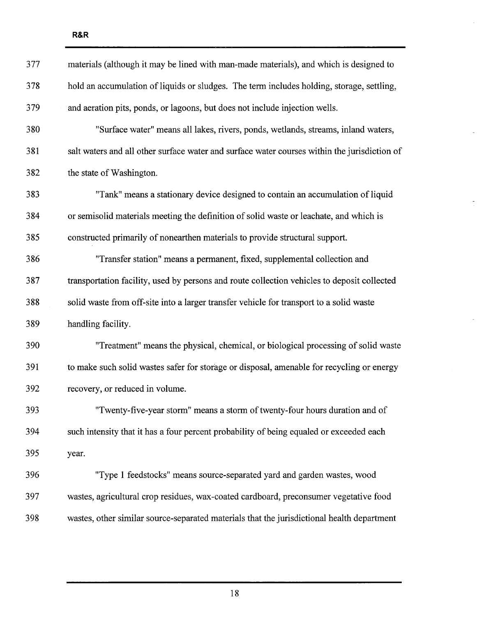| 377 | materials (although it may be lined with man-made materials), and which is designed to       |
|-----|----------------------------------------------------------------------------------------------|
| 378 | hold an accumulation of liquids or sludges. The term includes holding, storage, settling,    |
| 379 | and aeration pits, ponds, or lagoons, but does not include injection wells.                  |
| 380 | "Surface water" means all lakes, rivers, ponds, wetlands, streams, inland waters,            |
| 381 | salt waters and all other surface water and surface water courses within the jurisdiction of |
| 382 | the state of Washington.                                                                     |
| 383 | "Tank" means a stationary device designed to contain an accumulation of liquid               |
| 384 | or semisolid materials meeting the definition of solid waste or leachate, and which is       |
| 385 | constructed primarily of nonearthen materials to provide structural support.                 |
| 386 | "Transfer station" means a permanent, fixed, supplemental collection and                     |
| 387 | transportation facility, used by persons and route collection vehicles to deposit collected  |
| 388 | solid waste from off-site into a larger transfer vehicle for transport to a solid waste      |
| 389 | handling facility.                                                                           |
| 390 | "Treatment" means the physical, chemical, or biological processing of solid waste            |
| 391 | to make such solid wastes safer for storage or disposal, amenable for recycling or energy    |
| 392 | recovery, or reduced in volume.                                                              |
| 393 | "Twenty-five-year storm" means a storm of twenty-four hours duration and of                  |
| 394 | such intensity that it has a four percent probability of being equaled or exceeded each      |
| 395 | year.                                                                                        |
| 396 | "Type 1 feedstocks" means source-separated yard and garden wastes, wood                      |
| 397 | wastes, agricultural crop residues, wax-coated cardboard, preconsumer vegetative food        |
| 398 | wastes, other similar source-separated materials that the jurisdictional health department   |

÷,

 $\overline{a}$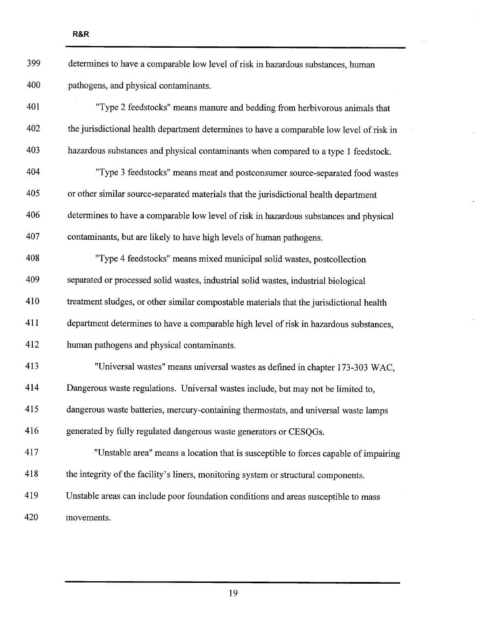| 399 | determines to have a comparable low level of risk in hazardous substances, human          |
|-----|-------------------------------------------------------------------------------------------|
| 400 | pathogens, and physical contaminants.                                                     |
| 401 | "Type 2 feedstocks" means manure and bedding from herbivorous animals that                |
| 402 | the jurisdictional health department determines to have a comparable low level of risk in |
| 403 | hazardous substances and physical contaminants when compared to a type 1 feedstock.       |
| 404 | "Type 3 feedstocks" means meat and postconsumer source-separated food wastes              |
| 405 | or other similar source-separated materials that the jurisdictional health department     |
| 406 | determines to have a comparable low level of risk in hazardous substances and physical    |
| 407 | contaminants, but are likely to have high levels of human pathogens.                      |
| 408 | "Type 4 feedstocks" means mixed municipal solid wastes, postcollection                    |
| 409 | separated or processed solid wastes, industrial solid wastes, industrial biological       |
| 410 | treatment sludges, or other similar compostable materials that the jurisdictional health  |
| 411 | department determines to have a comparable high level of risk in hazardous substances,    |
| 412 | human pathogens and physical contaminants.                                                |
| 413 | "Universal wastes" means universal wastes as defined in chapter 173-303 WAC,              |
| 414 | Dangerous waste regulations. Universal wastes include, but may not be limited to,         |
| 415 | dangerous waste batteries, mercury-containing thermostats, and universal waste lamps      |
| 416 | generated by fully regulated dangerous waste generators or CESQGs.                        |
| 417 | "Unstable area" means a location that is susceptible to forces capable of impairing       |
| 418 | the integrity of the facility's liners, monitoring system or structural components.       |
| 419 | Unstable areas can include poor foundation conditions and areas susceptible to mass       |
| 420 | movements.                                                                                |

 $\hat{\boldsymbol{\gamma}}$ 

 $\bar{z}$ 

 $\mathbb{R}^2$ 

 $\overline{a}$ 

l,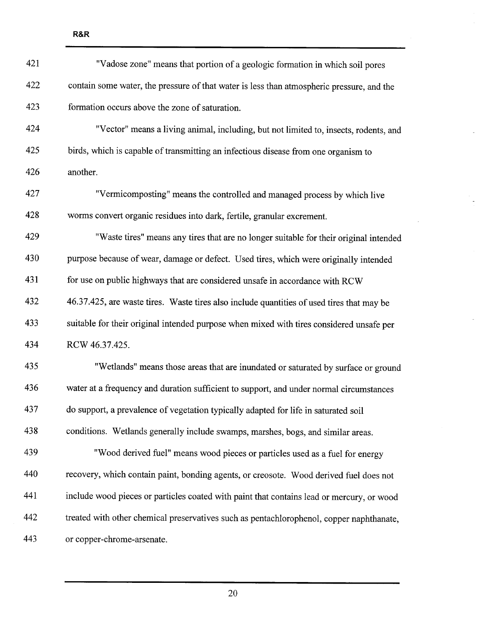| 421 | "Vadose zone" means that portion of a geologic formation in which soil pores              |
|-----|-------------------------------------------------------------------------------------------|
| 422 | contain some water, the pressure of that water is less than atmospheric pressure, and the |
| 423 | formation occurs above the zone of saturation.                                            |
| 424 | "Vector" means a living animal, including, but not limited to, insects, rodents, and      |
| 425 | birds, which is capable of transmitting an infectious disease from one organism to        |
| 426 | another.                                                                                  |
| 427 | "Vermicomposting" means the controlled and managed process by which live                  |
| 428 | worms convert organic residues into dark, fertile, granular excrement.                    |
| 429 | "Waste tires" means any tires that are no longer suitable for their original intended     |
| 430 | purpose because of wear, damage or defect. Used tires, which were originally intended     |
| 431 | for use on public highways that are considered unsafe in accordance with RCW              |
| 432 | 46.37.425, are waste tires. Waste tires also include quantities of used tires that may be |
| 433 | suitable for their original intended purpose when mixed with tires considered unsafe per  |
| 434 | RCW 46.37.425.                                                                            |
| 435 | "Wetlands" means those areas that are inundated or saturated by surface or ground         |
| 436 | water at a frequency and duration sufficient to support, and under normal circumstances   |
| 437 | do support, a prevalence of vegetation typically adapted for life in saturated soil       |
| 438 | conditions. Wetlands generally include swamps, marshes, bogs, and similar areas.          |
| 439 | "Wood derived fuel" means wood pieces or particles used as a fuel for energy              |
| 440 | recovery, which contain paint, bonding agents, or creosote. Wood derived fuel does not    |
| 441 | include wood pieces or particles coated with paint that contains lead or mercury, or wood |
| 442 | treated with other chemical preservatives such as pentachlorophenol, copper naphthanate,  |
| 443 | or copper-chrome-arsenate.                                                                |

 $\frac{1}{\sqrt{2}}$ 

 $\overline{\phantom{a}}$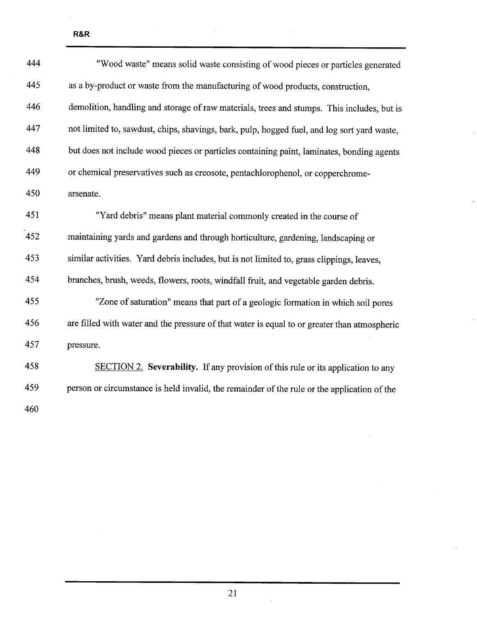| 444 | "Wood waste" means solid waste consisting of wood pieces or particles generated              |
|-----|----------------------------------------------------------------------------------------------|
| 445 | as a by-product or waste from the manufacturing of wood products, construction,              |
| 446 | demolition, handling and storage of raw materials, trees and stumps. This includes, but is   |
| 447 | not limited to, sawdust, chips, shavings, bark, pulp, hogged fuel, and log sort yard waste,  |
| 448 | but does not include wood pieces or particles containing paint, laminates, bonding agents    |
| 449 | or chemical preservatives such as creosote, pentachlorophenol, or copperchrome-              |
| 450 | arsenate.                                                                                    |
| 451 | "Yard debris" means plant material commonly created in the course of                         |
| 452 | maintaining yards and gardens and through horticulture, gardening, landscaping or            |
| 453 | similar activities. Yard debris includes, but is not limited to, grass clippings, leaves,    |
| 454 | branches, brush, weeds, flowers, roots, windfall fruit, and vegetable garden debris.         |
| 455 | "Zone of saturation" means that part of a geologic formation in which soil pores             |
| 456 | are filled with water and the pressure of that water is equal to or greater than atmospheric |
| 457 | pressure.                                                                                    |
| 458 | SECTION 2. Severability. If any provision of this rule or its application to any             |
| 459 | person or circumstance is held invalid, the remainder of the rule or the application of the  |
| 460 |                                                                                              |

R&R